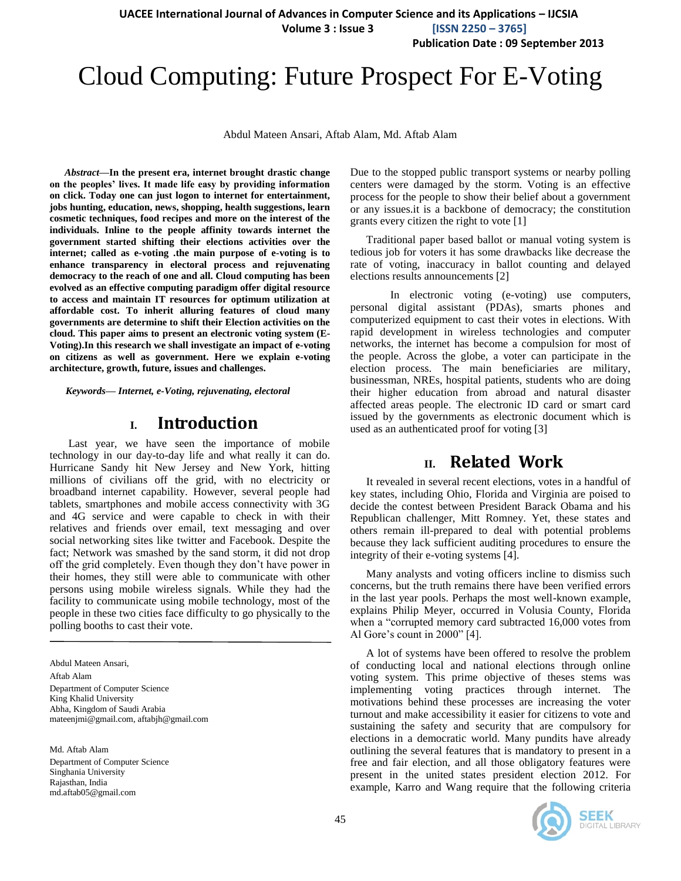**UACEE International Journal of Advances in Computer Science and its Applications – IJCSIA**

 **Volume 3 : Issue 3 [ISSN 2250 – 3765]**

**Publication Date : 09 September 2013**

# Cloud Computing: Future Prospect For E-Voting

Abdul Mateen Ansari, Aftab Alam, Md. Aftab Alam

*Abstract***—In the present era, internet brought drastic change on the peoples' lives. It made life easy by providing information on click. Today one can just logon to internet for entertainment, jobs hunting, education, news, shopping, health suggestions, learn cosmetic techniques, food recipes and more on the interest of the individuals. Inline to the people affinity towards internet the government started shifting their elections activities over the internet; called as e-voting .the main purpose of e-voting is to enhance transparency in electoral process and rejuvenating democracy to the reach of one and all. Cloud computing has been evolved as an effective computing paradigm offer digital resource to access and maintain IT resources for optimum utilization at affordable cost. To inherit alluring features of cloud many governments are determine to shift their Election activities on the cloud. This paper aims to present an electronic voting system (E-Voting).In this research we shall investigate an impact of e-voting on citizens as well as government. Here we explain e-voting architecture, growth, future, issues and challenges.**

*Keywords— Internet, e-Voting, rejuvenating, electoral*

## **I. Introduction**

Last year, we have seen the importance of mobile technology in our day-to-day life and what really it can do. Hurricane Sandy hit New Jersey and New York, hitting millions of civilians off the grid, with no electricity or broadband internet capability. However, several people had tablets, smartphones and mobile access connectivity with 3G and 4G service and were capable to check in with their relatives and friends over email, text messaging and over social networking sites like twitter and Facebook. Despite the fact; Network was smashed by the sand storm, it did not drop off the grid completely. Even though they don't have power in their homes, they still were able to communicate with other persons using mobile wireless signals. While they had the facility to communicate using mobile technology, most of the people in these two cities face difficulty to go physically to the polling booths to cast their vote.

Abdul Mateen Ansari, Aftab Alam Department of Computer Science King Khalid University Abha, Kingdom of Saudi Arabia mateenjmi@gmail.com, aftabjh@gmail.com

Md. Aftab Alam Department of Computer Science Singhania University Rajasthan, India md.aftab05@gmail.com

Due to the stopped public transport systems or nearby polling centers were damaged by the storm. Voting is an effective process for the people to show their belief about a government or any issues.it is a backbone of democracy; the constitution grants every citizen the right to vote [1]

Traditional paper based ballot or manual voting system is tedious job for voters it has some drawbacks like decrease the rate of voting, inaccuracy in ballot counting and delayed elections results announcements [2]

In electronic voting (e-voting) use computers, personal digital assistant (PDAs), smarts phones and computerized equipment to cast their votes in elections. With rapid development in wireless technologies and computer networks, the internet has become a compulsion for most of the people. Across the globe, a voter can participate in the election process. The main beneficiaries are military, businessman, NREs, hospital patients, students who are doing their higher education from abroad and natural disaster affected areas people. The electronic ID card or smart card issued by the governments as electronic document which is used as an authenticated proof for voting [3]

## **II. Related Work**

It revealed in several recent elections, votes in a handful of key states, including Ohio, Florida and Virginia are poised to decide the contest between President Barack Obama and his Republican challenger, Mitt Romney. Yet, these states and others remain ill-prepared to deal with potential problems because they lack sufficient auditing procedures to ensure the integrity of their e-voting systems [4].

Many analysts and voting officers incline to dismiss such concerns, but the truth remains there have been verified errors in the last year pools. Perhaps the most well-known example, explains Philip Meyer, occurred in Volusia County, Florida when a "corrupted memory card subtracted 16,000 votes from Al Gore's count in 2000" [4].

A lot of systems have been offered to resolve the problem of conducting local and national elections through online voting system. This prime objective of theses stems was implementing voting practices through internet. The motivations behind these processes are increasing the voter turnout and make accessibility it easier for citizens to vote and sustaining the safety and security that are compulsory for elections in a democratic world. Many pundits have already outlining the several features that is mandatory to present in a free and fair election, and all those obligatory features were present in the united states president election 2012. For example, Karro and Wang require that the following criteria

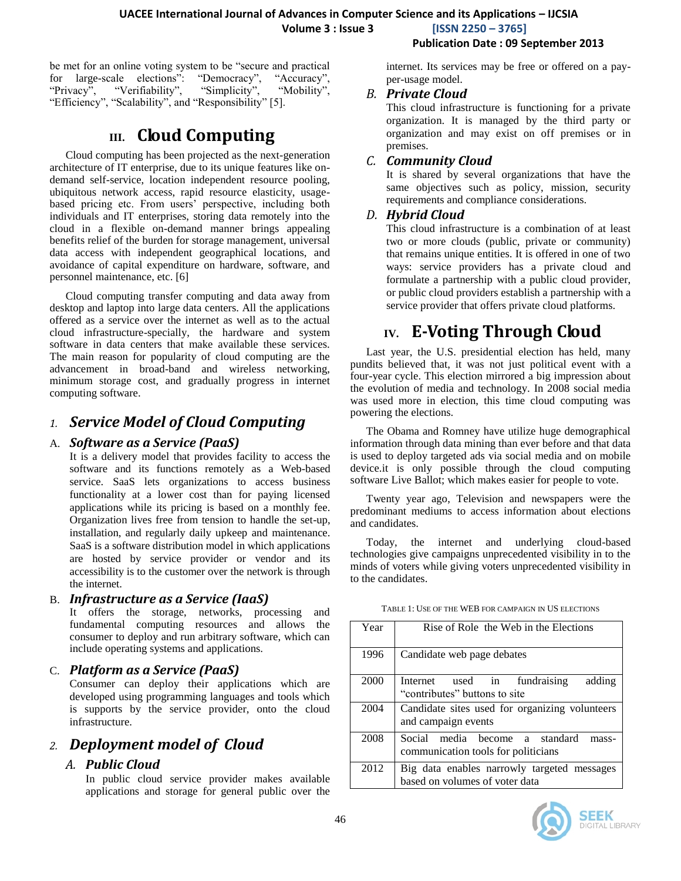**Volume 3 : Issue 3 [ISSN 2250 – 3765]**

#### **Publication Date : 09 September 2013**

be met for an online voting system to be "secure and practical for large-scale elections": "Democracy", "Accuracy", "Privacy", "Verifiability", "Simplicity", "Mobility", "Efficiency", "Scalability", and "Responsibility" [5].

## **III. Cloud Computing**

Cloud computing has been projected as the next-generation architecture of IT enterprise, due to its unique features like ondemand self-service, location independent resource pooling, ubiquitous network access, rapid resource elasticity, usagebased pricing etc. From users' perspective, including both individuals and IT enterprises, storing data remotely into the cloud in a flexible on-demand manner brings appealing benefits relief of the burden for storage management, universal data access with independent geographical locations, and avoidance of capital expenditure on hardware, software, and personnel maintenance, etc. [6]

Cloud computing transfer computing and data away from desktop and laptop into large data centers. All the applications offered as a service over the internet as well as to the actual cloud infrastructure-specially, the hardware and system software in data centers that make available these services. The main reason for popularity of cloud computing are the advancement in broad-band and wireless networking, minimum storage cost, and gradually progress in internet computing software.

## *1. Service Model of Cloud Computing*

#### A. *Software as a Service (PaaS)*

It is a delivery model that provides facility to access the software and its functions remotely as a Web-based service. SaaS lets organizations to access business functionality at a lower cost than for paying licensed applications while its pricing is based on a monthly fee. Organization lives free from tension to handle the set-up, installation, and regularly daily upkeep and maintenance. SaaS is a software distribution model in which applications are hosted by service provider or vendor and its accessibility is to the customer over the network is through the internet.

#### B. *Infrastructure as a Service (IaaS)*

It offers the storage, networks, processing and fundamental computing resources and allows the consumer to deploy and run arbitrary software, which can include operating systems and applications.

#### C. *Platform as a Service (PaaS)*

Consumer can deploy their applications which are developed using programming languages and tools which is supports by the service provider, onto the cloud infrastructure.

## *2. Deployment model of Cloud*

### *A. Public Cloud*

In public cloud service provider makes available applications and storage for general public over the internet. Its services may be free or offered on a payper-usage model.

#### *B. Private Cloud*

This cloud infrastructure is functioning for a private organization. It is managed by the third party or organization and may exist on off premises or in premises.

#### *C. Community Cloud*

It is shared by several organizations that have the same objectives such as policy, mission, security requirements and compliance considerations.

#### *D. Hybrid Cloud*

This cloud infrastructure is a combination of at least two or more clouds (public, private or community) that remains unique entities. It is offered in one of two ways: service providers has a private cloud and formulate a partnership with a public cloud provider, or public cloud providers establish a partnership with a service provider that offers private cloud platforms.

## **IV. E-Voting Through Cloud**

Last year, the U.S. presidential election has held, many pundits believed that, it was not just political event with a four-year cycle. This election mirrored a big impression about the evolution of media and technology. In 2008 social media was used more in election, this time cloud computing was powering the elections.

The Obama and Romney have utilize huge demographical information through data mining than ever before and that data is used to deploy targeted ads via social media and on mobile device.it is only possible through the cloud computing software Live Ballot; which makes easier for people to vote.

Twenty year ago, Television and newspapers were the predominant mediums to access information about elections and candidates.

Today, the internet and underlying cloud-based technologies give campaigns unprecedented visibility in to the minds of voters while giving voters unprecedented visibility in to the candidates.

| Year | Rise of Role the Web in the Elections                                          |  |  |
|------|--------------------------------------------------------------------------------|--|--|
| 1996 | Candidate web page debates                                                     |  |  |
| 2000 | Internet used in fundraising<br>adding<br>"contributes" buttons to site        |  |  |
| 2004 | Candidate sites used for organizing volunteers<br>and campaign events          |  |  |
| 2008 | Social media become a standard<br>mass-<br>communication tools for politicians |  |  |
| 2012 | Big data enables narrowly targeted messages<br>based on volumes of voter data  |  |  |

#### TABLE 1: USE OF THE WEB FOR CAMPAIGN IN US ELECTIONS

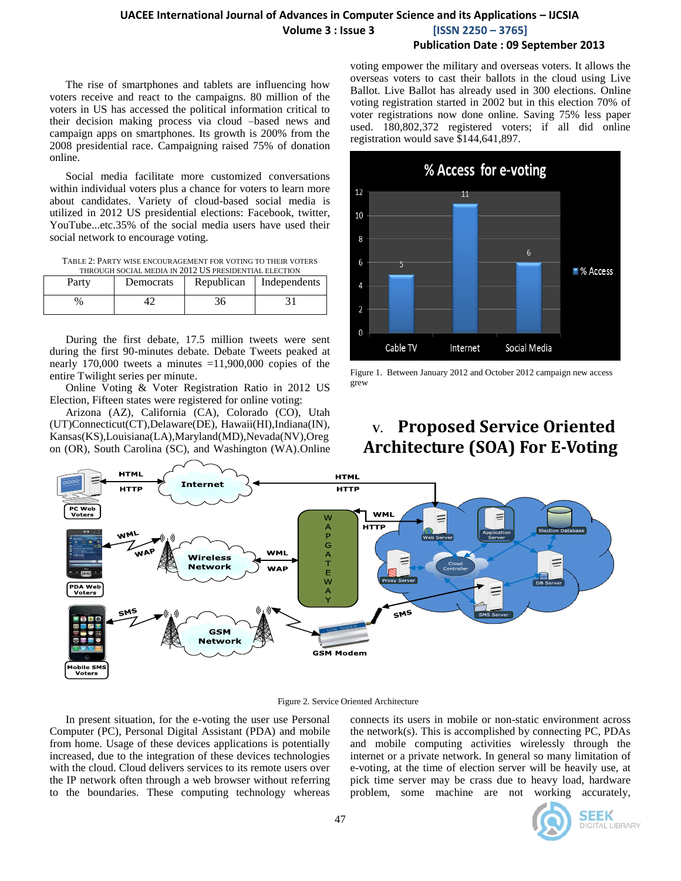### **UACEE International Journal of Advances in Computer Science and its Applications – IJCSIA Volume 3 : Issue 3 [ISSN 2250 – 3765]**

#### **Publication Date : 09 September 2013**

The rise of smartphones and tablets are influencing how voters receive and react to the campaigns. 80 million of the voters in US has accessed the political information critical to their decision making process via cloud –based news and campaign apps on smartphones. Its growth is 200% from the 2008 presidential race. Campaigning raised 75% of donation online.

Social media facilitate more customized conversations within individual voters plus a chance for voters to learn more about candidates. Variety of cloud-based social media is utilized in 2012 US presidential elections: Facebook, twitter, YouTube...etc.35% of the social media users have used their social network to encourage voting.

TABLE 2: PARTY WISE ENCOURAGEMENT FOR VOTING TO THEIR VOTERS THROUGH SOCIAL MEDIA IN 2012 US PRESIDENTIAL ELECTION

| Party | Democrats | Republican   Independents |
|-------|-----------|---------------------------|
| $\%$  |           |                           |

During the first debate, 17.5 million tweets were sent during the first 90-minutes debate. Debate Tweets peaked at nearly 170,000 tweets a minutes  $=11,900,000$  copies of the entire Twilight series per minute.

Online Voting & Voter Registration Ratio in 2012 US Election, Fifteen states were registered for online voting:

Arizona (AZ), California (CA), Colorado (CO), Utah (UT)Connecticut(CT),Delaware(DE), Hawaii(HI),Indiana(IN), Kansas(KS),Louisiana(LA),Maryland(MD),Nevada(NV),Oreg on (OR), South Carolina (SC), and Washington (WA).Online

voting empower the military and overseas voters. It allows the overseas voters to cast their ballots in the cloud using Live Ballot. Live Ballot has already used in 300 elections. Online voting registration started in 2002 but in this election 70% of voter registrations now done online. Saving 75% less paper used. 180,802,372 registered voters; if all did online registration would save \$144,641,897.



Figure 1. Between January 2012 and October 2012 campaign new access grew

## **V. Proposed Service Oriented Architecture (SOA) For E-Voting**



Figure 2. Service Oriented Architecture

In present situation, for the e-voting the user use Personal Computer (PC), Personal Digital Assistant (PDA) and mobile from home. Usage of these devices applications is potentially increased, due to the integration of these devices technologies with the cloud. Cloud delivers services to its remote users over the IP network often through a web browser without referring to the boundaries. These computing technology whereas connects its users in mobile or non-static environment across the network(s). This is accomplished by connecting PC, PDAs and mobile computing activities wirelessly through the internet or a private network. In general so many limitation of e-voting, at the time of election server will be heavily use, at pick time server may be crass due to heavy load, hardware problem, some machine are not working accurately,

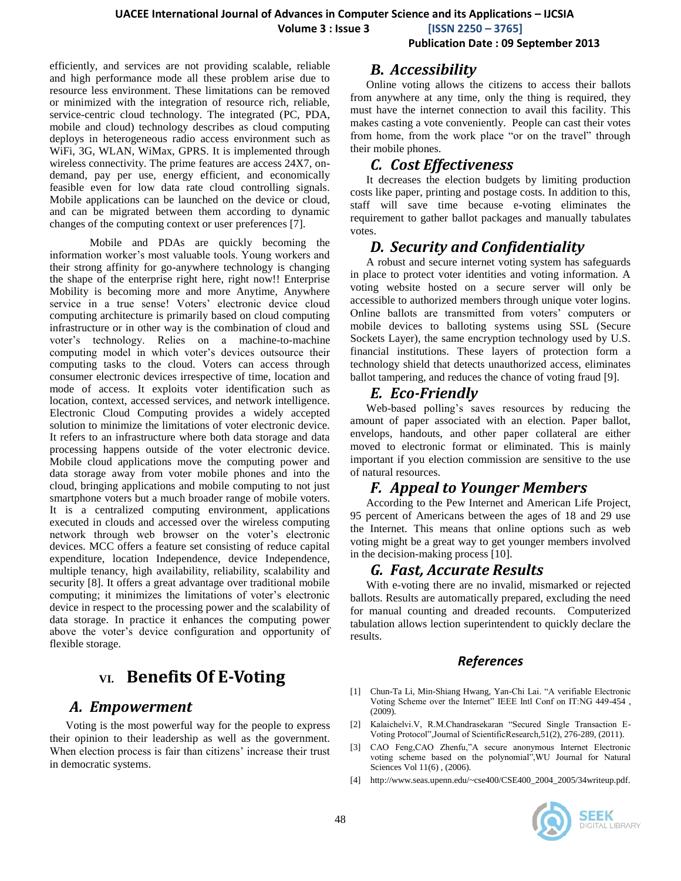**Volume 3 : Issue 3 [ISSN 2250 – 3765]**

#### **Publication Date : 09 September 2013**

efficiently, and services are not providing scalable, reliable and high performance mode all these problem arise due to resource less environment. These limitations can be removed or minimized with the integration of resource rich, reliable, service-centric cloud technology. The integrated (PC, PDA, mobile and cloud) technology describes as cloud computing deploys in heterogeneous radio access environment such as WiFi, 3G, WLAN, WiMax, GPRS. It is implemented through wireless connectivity. The prime features are access 24X7, ondemand, pay per use, energy efficient, and economically feasible even for low data rate cloud controlling signals. Mobile applications can be launched on the device or cloud, and can be migrated between them according to dynamic changes of the computing context or user preferences [7].

Mobile and PDAs are quickly becoming the information worker's most valuable tools. Young workers and their strong affinity for go-anywhere technology is changing the shape of the enterprise right here, right now!! Enterprise Mobility is becoming more and more Anytime, Anywhere service in a true sense! Voters' electronic device cloud computing architecture is primarily based on cloud computing infrastructure or in other way is the combination of cloud and voter's technology. Relies on a machine-to-machine computing model in which voter's devices outsource their computing tasks to the cloud. Voters can access through consumer electronic devices irrespective of time, location and mode of access. It exploits voter identification such as location, context, accessed services, and network intelligence. Electronic Cloud Computing provides a widely accepted solution to minimize the limitations of voter electronic device. It refers to an infrastructure where both data storage and data processing happens outside of the voter electronic device. Mobile cloud applications move the computing power and data storage away from voter mobile phones and into the cloud, bringing applications and mobile computing to not just smartphone voters but a much broader range of mobile voters. It is a centralized computing environment, applications executed in clouds and accessed over the wireless computing network through web browser on the voter's electronic devices. MCC offers a feature set consisting of reduce capital expenditure, location Independence, device Independence, multiple tenancy, high availability, reliability, scalability and security [8]. It offers a great advantage over traditional mobile computing; it minimizes the limitations of voter's electronic device in respect to the processing power and the scalability of data storage. In practice it enhances the computing power above the voter's device configuration and opportunity of flexible storage.

## **VI. Benefits Of E-Voting**

### *A. Empowerment*

Voting is the most powerful way for the people to express their opinion to their leadership as well as the government. When election process is fair than citizens' increase their trust in democratic systems.

#### *B. Accessibility*

Online voting allows the citizens to access their ballots from anywhere at any time, only the thing is required, they must have the internet connection to avail this facility. This makes casting a vote conveniently. People can cast their votes from home, from the work place "or on the travel" through their mobile phones.

## *C. Cost Effectiveness*

It decreases the election budgets by limiting production costs like paper, printing and postage costs. In addition to this, staff will save time because e-voting eliminates the requirement to gather ballot packages and manually tabulates votes.

## *D. Security and Confidentiality*

A robust and secure internet voting system has safeguards in place to protect voter identities and voting information. A voting website hosted on a secure server will only be accessible to authorized members through unique voter logins. Online ballots are transmitted from voters' computers or mobile devices to balloting systems using SSL (Secure Sockets Layer), the same encryption technology used by U.S. financial institutions. These layers of protection form a technology shield that detects unauthorized access, eliminates ballot tampering, and reduces the chance of voting fraud [9].

## *E. Eco-Friendly*

Web-based polling's saves resources by reducing the amount of paper associated with an election. Paper ballot, envelops, handouts, and other paper collateral are either moved to electronic format or eliminated. This is mainly important if you election commission are sensitive to the use of natural resources.

## *F. Appeal to Younger Members*

According to the Pew Internet and American Life Project, 95 percent of Americans between the ages of 18 and 29 use the Internet. This means that online options such as web voting might be a great way to get younger members involved in the decision-making process [10].

### *G. Fast, Accurate Results*

With e-voting there are no invalid, mismarked or rejected ballots. Results are automatically prepared, excluding the need for manual counting and dreaded recounts. Computerized tabulation allows lection superintendent to quickly declare the results.

#### *References*

- [1] Chun-Ta Li, Min-Shiang Hwang, Yan-Chi Lai. "A verifiable Electronic Voting Scheme over the Internet" IEEE Intl Conf on IT:NG 449-454 , (2009).
- [2] Kalaichelvi.V, R.M.Chandrasekaran "Secured Single Transaction E-Voting Protocol",Journal of ScientificResearch,51(2), 276-289, (2011).
- [3] CAO Feng,CAO Zhenfu,"A secure anonymous Internet Electronic voting scheme based on the polynomial",WU Journal for Natural Sciences Vol 11(6) , (2006).
- [4] http://www.seas.upenn.edu/~cse400/CSE400\_2004\_2005/34writeup.pdf.